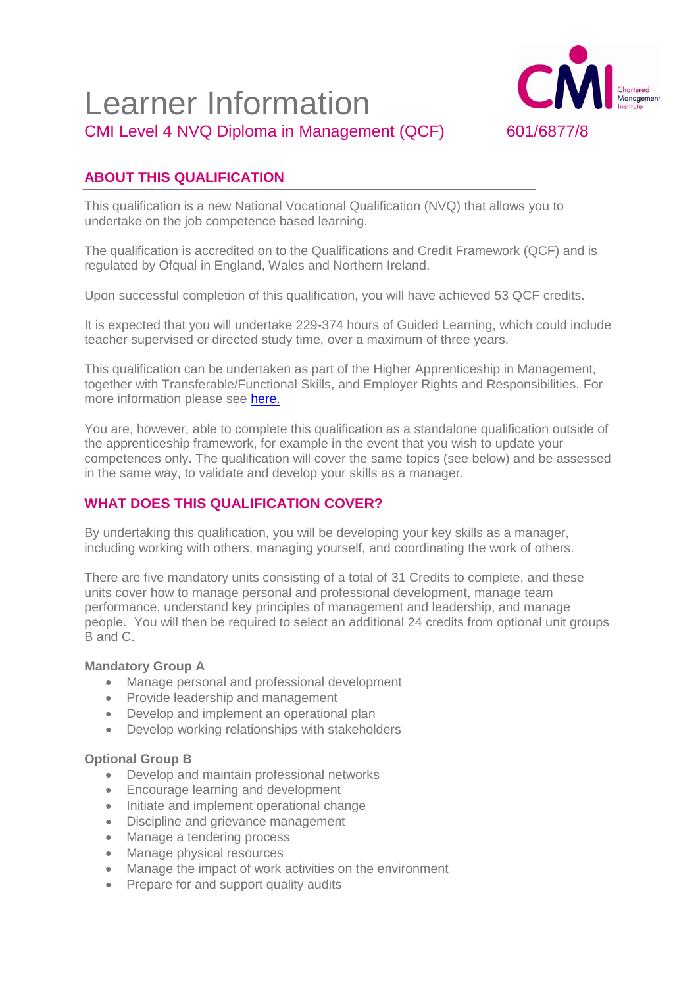# Learner Information CMI Level 4 NVQ Diploma in Management (QCF) 601/6877/8



# **ABOUT THIS QUALIFICATION**

This qualification is a new National Vocational Qualification (NVQ) that allows you to undertake on the job competence based learning.

The qualification is accredited on to the Qualifications and Credit Framework (QCF) and is regulated by Ofqual in England, Wales and Northern Ireland.

Upon successful completion of this qualification, you will have achieved 53 QCF credits.

It is expected that you will undertake 229-374 hours of Guided Learning, which could include teacher supervised or directed study time, over a maximum of three years.

This qualification can be undertaken as part of the Higher Apprenticeship in Management, together with Transferable/Functional Skills, and Employer Rights and Responsibilities. For more information please see [here.](http://www.managers.org.uk/education-providers/existing-centres/qualification-resource-library/level-4-higher-apprenticeship-in-management-and-leadership)

You are, however, able to complete this qualification as a standalone qualification outside of the apprenticeship framework, for example in the event that you wish to update your competences only. The qualification will cover the same topics (see below) and be assessed in the same way, to validate and develop your skills as a manager.

# **WHAT DOES THIS QUALIFICATION COVER?**

By undertaking this qualification, you will be developing your key skills as a manager, including working with others, managing yourself, and coordinating the work of others.

There are five mandatory units consisting of a total of 31 Credits to complete, and these units cover how to manage personal and professional development, manage team performance, understand key principles of management and leadership, and manage people. You will then be required to select an additional 24 credits from optional unit groups B and C.

#### **Mandatory Group A**

- Manage personal and professional development
- Provide leadership and management
- Develop and implement an operational plan
- Develop working relationships with stakeholders

#### **Optional Group B**

- Develop and maintain professional networks
- Encourage learning and development
- Initiate and implement operational change
- Discipline and grievance management
- Manage a tendering process
- Manage physical resources
- Manage the impact of work activities on the environment
- Prepare for and support quality audits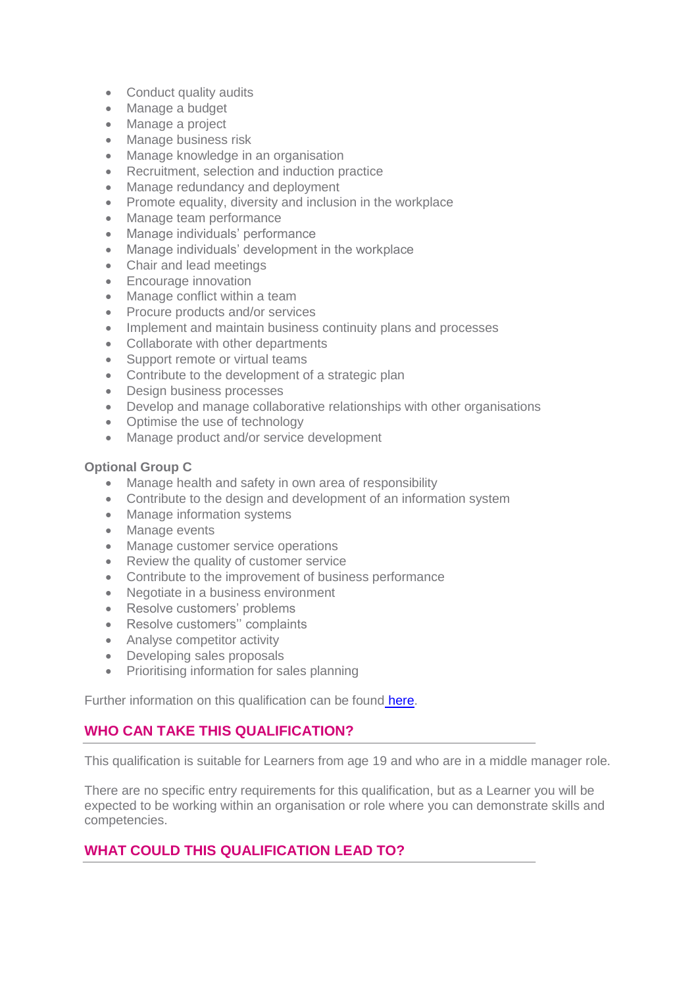- Conduct quality audits
- Manage a budget
- Manage a project
- Manage business risk
- Manage knowledge in an organisation
- Recruitment, selection and induction practice
- Manage redundancy and deployment
- Promote equality, diversity and inclusion in the workplace
- Manage team performance
- Manage individuals' performance
- Manage individuals' development in the workplace
- Chair and lead meetings
- Encourage innovation
- Manage conflict within a team
- Procure products and/or services
- Implement and maintain business continuity plans and processes
- Collaborate with other departments
- Support remote or virtual teams
- Contribute to the development of a strategic plan
- Design business processes
- Develop and manage collaborative relationships with other organisations
- Optimise the use of technology
- Manage product and/or service development

#### **Optional Group C**

- Manage health and safety in own area of responsibility
- Contribute to the design and development of an information system
- Manage information systems
- Manage events
- Manage customer service operations
- Review the quality of customer service
- Contribute to the improvement of business performance
- Negotiate in a business environment
- Resolve customers' problems
- Resolve customers" complaints
- Analyse competitor activity
- Developing sales proposals
- Prioritising information for sales planning

Further information on this qualification can be found [here.](http://www.managers.org.uk/education-providers/existing-centres/qualification-resource-library/nvq-level-4-qcf)

## **WHO CAN TAKE THIS QUALIFICATION?**

This qualification is suitable for Learners from age 19 and who are in a middle manager role.

There are no specific entry requirements for this qualification, but as a Learner you will be expected to be working within an organisation or role where you can demonstrate skills and competencies.

## **WHAT COULD THIS QUALIFICATION LEAD TO?**